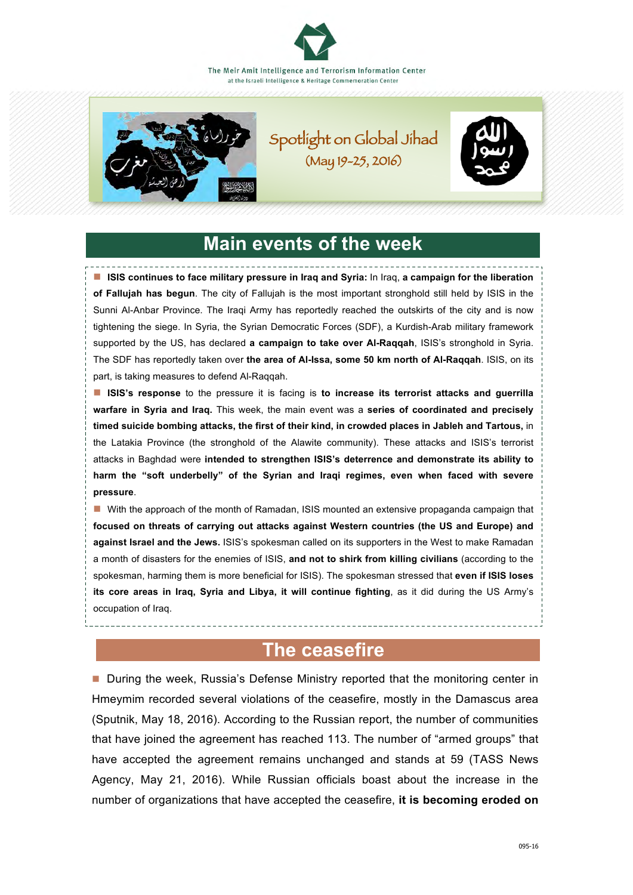



Spotlight on Global Jihad (May 19-25, 2016)



# **Main events of the week**

■ **ISIS continues to face military pressure in Iraq and Syria:** In Iraq, a campaign for the liberation **of Fallujah has begun**. The city of Fallujah is the most important stronghold still held by ISIS in the Sunni Al-Anbar Province. The Iraqi Army has reportedly reached the outskirts of the city and is now tightening the siege. In Syria, the Syrian Democratic Forces (SDF), a Kurdish-Arab military framework supported by the US, has declared **a campaign to take over Al-Raqqah**, ISIS's stronghold in Syria. The SDF has reportedly taken over **the area of Al-Issa, some 50 km north of Al-Raqqah**. ISIS, on its part, is taking measures to defend Al-Raqqah.

**ISIS's response** to the pressure it is facing is **to increase its terrorist attacks and guerrilla warfare in Syria and Iraq.** This week, the main event was a **series of coordinated and precisely timed suicide bombing attacks, the first of their kind, in crowded places in Jableh and Tartous,** in the Latakia Province (the stronghold of the Alawite community). These attacks and ISIS's terrorist attacks in Baghdad were **intended to strengthen ISIS's deterrence and demonstrate its ability to harm the "soft underbelly" of the Syrian and Iraqi regimes, even when faced with severe pressure**.

**n** With the approach of the month of Ramadan, ISIS mounted an extensive propaganda campaign that **focused on threats of carrying out attacks against Western countries (the US and Europe) and against Israel and the Jews.** ISIS's spokesman called on its supporters in the West to make Ramadan a month of disasters for the enemies of ISIS, **and not to shirk from killing civilians** (according to the spokesman, harming them is more beneficial for ISIS). The spokesman stressed that **even if ISIS loses its core areas in Iraq, Syria and Libya, it will continue fighting**, as it did during the US Army's occupation of Iraq.

## **The ceasefire**

■ During the week, Russia's Defense Ministry reported that the monitoring center in Hmeymim recorded several violations of the ceasefire, mostly in the Damascus area (Sputnik, May 18, 2016). According to the Russian report, the number of communities that have joined the agreement has reached 113. The number of "armed groups" that have accepted the agreement remains unchanged and stands at 59 (TASS News Agency, May 21, 2016). While Russian officials boast about the increase in the number of organizations that have accepted the ceasefire, **it is becoming eroded on**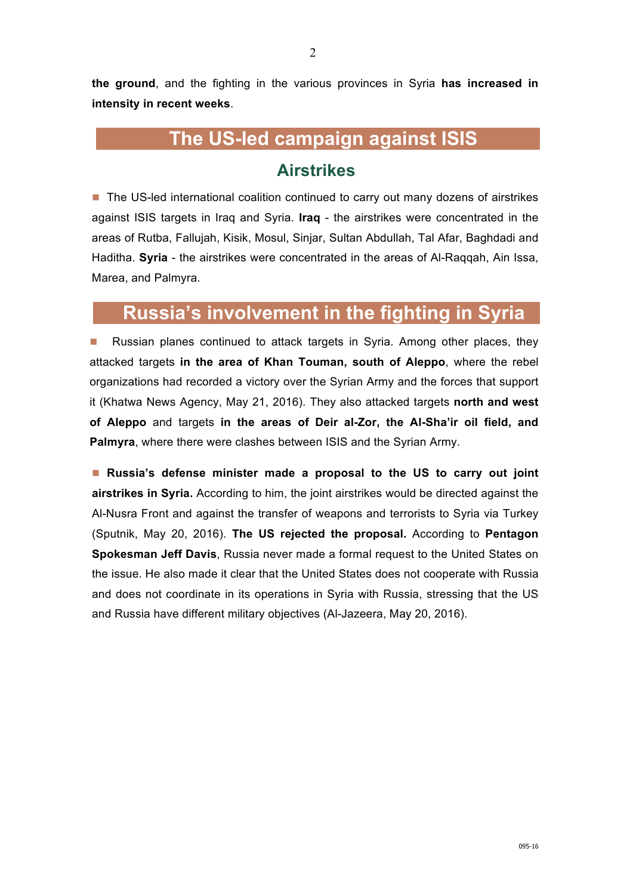**the ground**, and the fighting in the various provinces in Syria **has increased in intensity in recent weeks**.

# **The US-led campaign against ISIS**

## **Airstrikes**

■ The US-led international coalition continued to carry out many dozens of airstrikes against ISIS targets in Iraq and Syria. **Iraq** - the airstrikes were concentrated in the areas of Rutba, Fallujah, Kisik, Mosul, Sinjar, Sultan Abdullah, Tal Afar, Baghdadi and Haditha. **Syria** - the airstrikes were concentrated in the areas of Al-Raqqah, Ain Issa, Marea, and Palmyra.

# **Russia's involvement in the fighting in Syria**

■ Russian planes continued to attack targets in Syria. Among other places, they attacked targets **in the area of Khan Touman, south of Aleppo**, where the rebel organizations had recorded a victory over the Syrian Army and the forces that support it (Khatwa News Agency, May 21, 2016). They also attacked targets **north and west of Aleppo** and targets **in the areas of Deir al-Zor, the Al-Sha'ir oil field, and Palmyra**, where there were clashes between ISIS and the Syrian Army.

n **Russia's defense minister made a proposal to the US to carry out joint airstrikes in Syria.** According to him, the joint airstrikes would be directed against the Al-Nusra Front and against the transfer of weapons and terrorists to Syria via Turkey (Sputnik, May 20, 2016). **The US rejected the proposal.** According to **Pentagon Spokesman Jeff Davis**, Russia never made a formal request to the United States on the issue. He also made it clear that the United States does not cooperate with Russia and does not coordinate in its operations in Syria with Russia, stressing that the US and Russia have different military objectives (Al-Jazeera, May 20, 2016).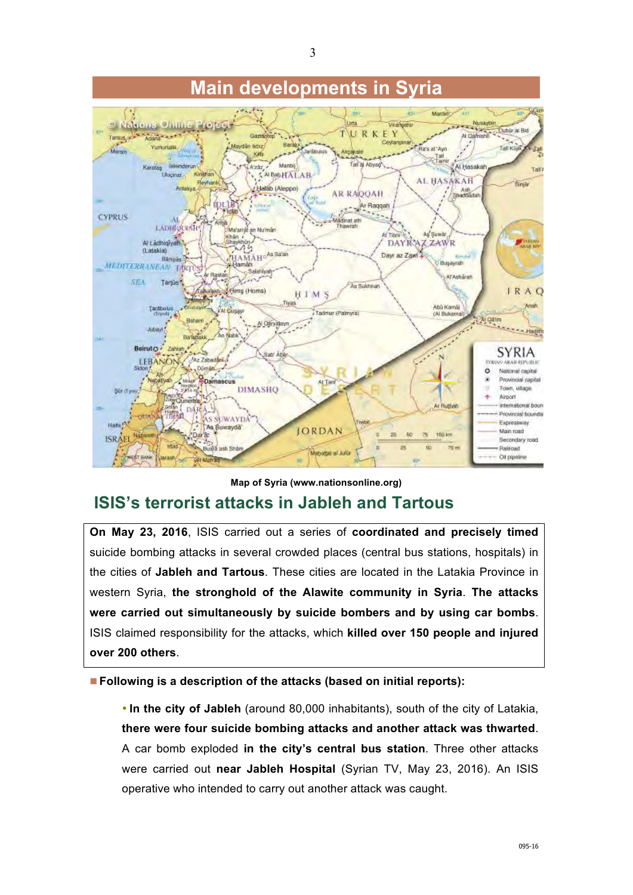

**Map of Syria (www.nationsonline.org)**

# **ISIS's terrorist attacks in Jableh and Tartous**

**On May 23, 2016**, ISIS carried out a series of **coordinated and precisely timed**  suicide bombing attacks in several crowded places (central bus stations, hospitals) in the cities of **Jableh and Tartous**. These cities are located in the Latakia Province in western Syria, **the stronghold of the Alawite community in Syria**. **The attacks were carried out simultaneously by suicide bombers and by using car bombs**. ISIS claimed responsibility for the attacks, which **killed over 150 people and injured over 200 others**.

■ **Following is a description of the attacks (based on initial reports):** 

• **In the city of Jableh** (around 80,000 inhabitants), south of the city of Latakia, **there were four suicide bombing attacks and another attack was thwarted**. A car bomb exploded **in the city's central bus station**. Three other attacks were carried out **near Jableh Hospital** (Syrian TV, May 23, 2016). An ISIS operative who intended to carry out another attack was caught.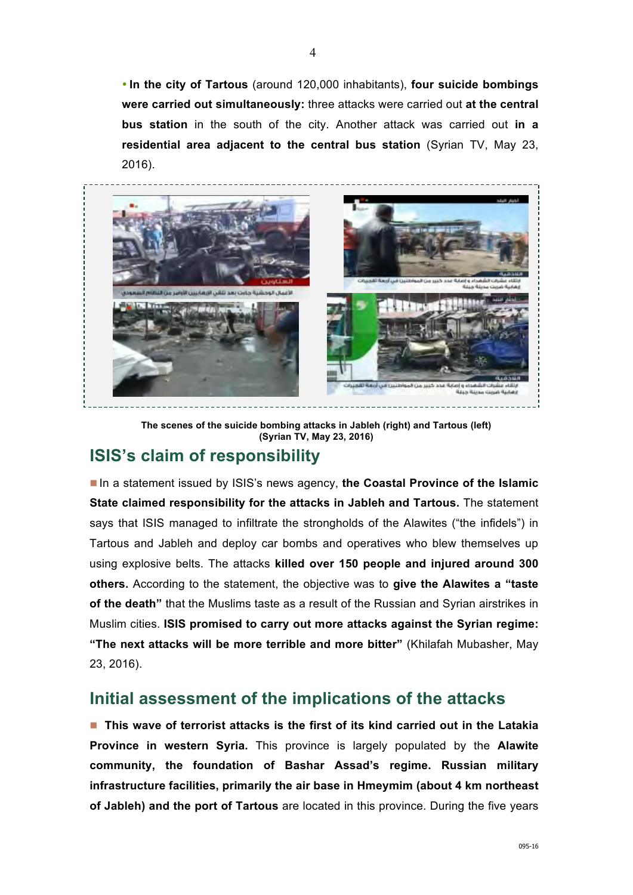• **In the city of Tartous** (around 120,000 inhabitants), **four suicide bombings were carried out simultaneously:** three attacks were carried out **at the central bus station** in the south of the city. Another attack was carried out **in a residential area adjacent to the central bus station** (Syrian TV, May 23, 2016).



**The scenes of the suicide bombing attacks in Jableh (right) and Tartous (left) (Syrian TV, May 23, 2016)**

## **ISIS's claim of responsibility**

■ In a statement issued by ISIS's news agency, the Coastal Province of the Islamic **State claimed responsibility for the attacks in Jableh and Tartous.** The statement says that ISIS managed to infiltrate the strongholds of the Alawites ("the infidels") in Tartous and Jableh and deploy car bombs and operatives who blew themselves up using explosive belts. The attacks **killed over 150 people and injured around 300 others.** According to the statement, the objective was to **give the Alawites a "taste of the death"** that the Muslims taste as a result of the Russian and Syrian airstrikes in Muslim cities. **ISIS promised to carry out more attacks against the Syrian regime: "The next attacks will be more terrible and more bitter"** (Khilafah Mubasher, May 23, 2016).

## **Initial assessment of the implications of the attacks**

■ This wave of terrorist attacks is the first of its kind carried out in the Latakia **Province in western Syria.** This province is largely populated by the **Alawite community, the foundation of Bashar Assad's regime. Russian military infrastructure facilities, primarily the air base in Hmeymim (about 4 km northeast of Jableh) and the port of Tartous** are located in this province. During the five years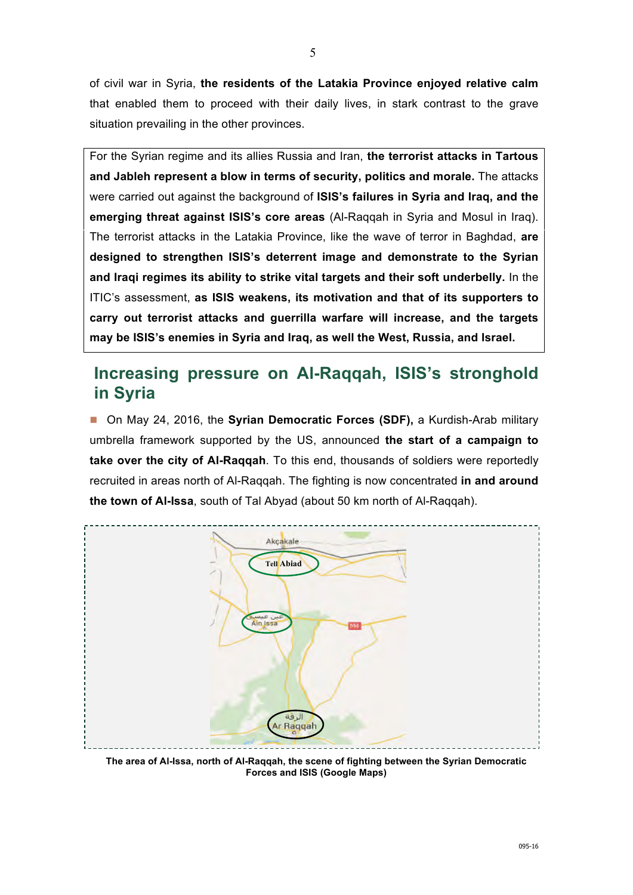of civil war in Syria, **the residents of the Latakia Province enjoyed relative calm**  that enabled them to proceed with their daily lives, in stark contrast to the grave situation prevailing in the other provinces.

For the Syrian regime and its allies Russia and Iran, **the terrorist attacks in Tartous and Jableh represent a blow in terms of security, politics and morale.** The attacks were carried out against the background of **ISIS's failures in Syria and Iraq, and the emerging threat against ISIS's core areas** (Al-Raqqah in Syria and Mosul in Iraq). The terrorist attacks in the Latakia Province, like the wave of terror in Baghdad, **are designed to strengthen ISIS's deterrent image and demonstrate to the Syrian and Iraqi regimes its ability to strike vital targets and their soft underbelly.** In the ITIC's assessment, **as ISIS weakens, its motivation and that of its supporters to carry out terrorist attacks and guerrilla warfare will increase, and the targets may be ISIS's enemies in Syria and Iraq, as well the West, Russia, and Israel.**

## **Increasing pressure on Al-Raqqah, ISIS's stronghold in Syria**

■ On May 24, 2016, the **Syrian Democratic Forces (SDF)**, a Kurdish-Arab military umbrella framework supported by the US, announced **the start of a campaign to take over the city of Al-Raqqah**. To this end, thousands of soldiers were reportedly recruited in areas north of Al-Raqqah. The fighting is now concentrated **in and around the town of Al-Issa**, south of Tal Abyad (about 50 km north of Al-Raqqah).



**The area of Al-Issa, north of Al-Raqqah, the scene of fighting between the Syrian Democratic Forces and ISIS (Google Maps)**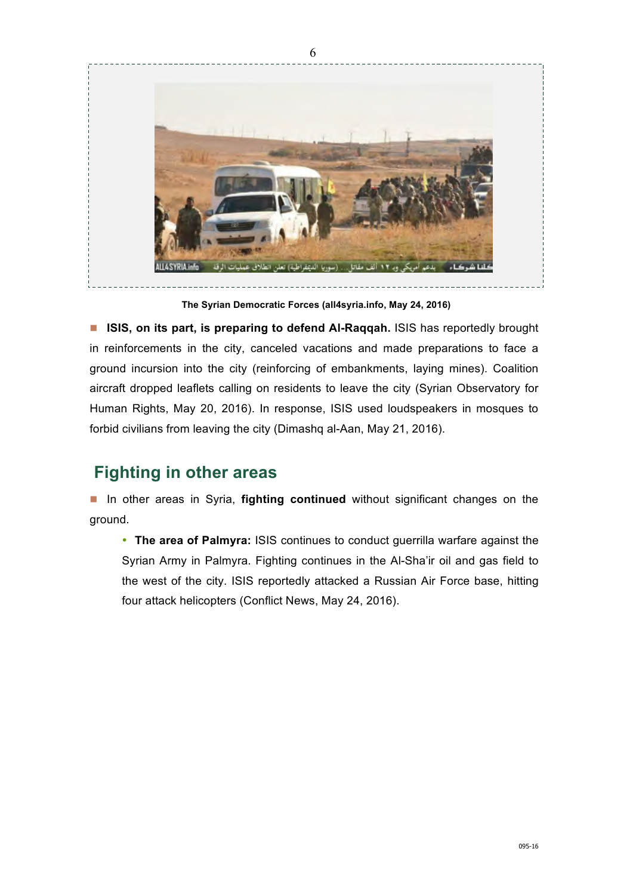

**The Syrian Democratic Forces (all4syria.info, May 24, 2016)**

**n ISIS, on its part, is preparing to defend AI-Raqqah.** ISIS has reportedly brought in reinforcements in the city, canceled vacations and made preparations to face a ground incursion into the city (reinforcing of embankments, laying mines). Coalition aircraft dropped leaflets calling on residents to leave the city (Syrian Observatory for Human Rights, May 20, 2016). In response, ISIS used loudspeakers in mosques to forbid civilians from leaving the city (Dimashq al-Aan, May 21, 2016).

## **Fighting in other areas**

**n** In other areas in Syria, **fighting continued** without significant changes on the ground.

• **The area of Palmyra:** ISIS continues to conduct guerrilla warfare against the Syrian Army in Palmyra. Fighting continues in the Al-Sha'ir oil and gas field to the west of the city. ISIS reportedly attacked a Russian Air Force base, hitting four attack helicopters (Conflict News, May 24, 2016).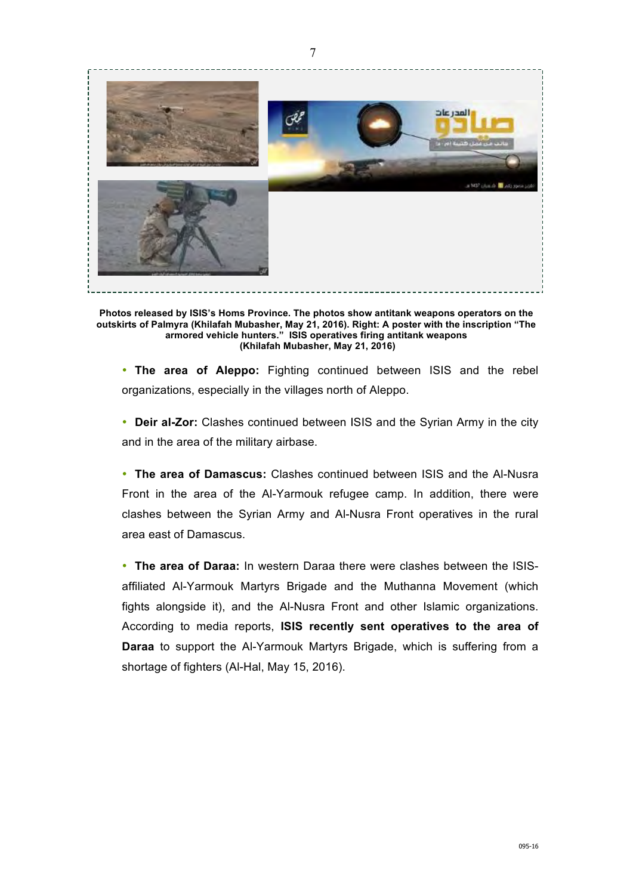

**Photos released by ISIS's Homs Province. The photos show antitank weapons operators on the outskirts of Palmyra (Khilafah Mubasher, May 21, 2016). Right: A poster with the inscription "The armored vehicle hunters." ISIS operatives firing antitank weapons (Khilafah Mubasher, May 21, 2016)**

• **The area of Aleppo:** Fighting continued between ISIS and the rebel organizations, especially in the villages north of Aleppo.

• **Deir al-Zor:** Clashes continued between ISIS and the Syrian Army in the city and in the area of the military airbase.

• **The area of Damascus:** Clashes continued between ISIS and the Al-Nusra Front in the area of the Al-Yarmouk refugee camp. In addition, there were clashes between the Syrian Army and Al-Nusra Front operatives in the rural area east of Damascus.

• **The area of Daraa:** In western Daraa there were clashes between the ISISaffiliated Al-Yarmouk Martyrs Brigade and the Muthanna Movement (which fights alongside it), and the Al-Nusra Front and other Islamic organizations. According to media reports, **ISIS recently sent operatives to the area of Daraa** to support the Al-Yarmouk Martyrs Brigade, which is suffering from a shortage of fighters (Al-Hal, May 15, 2016).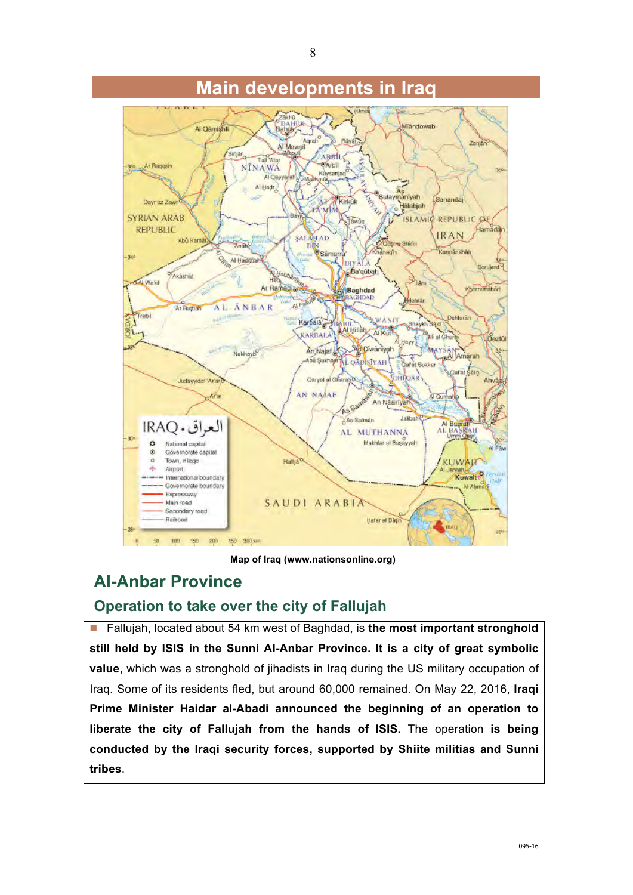

# **Main developments in Iraq**

**Map of Iraq (www.nationsonline.org)** 

## **Al-Anbar Province**

### **Operation to take over the city of Fallujah**

■ Fallujah, located about 54 km west of Baghdad, is the most important stronghold **still held by ISIS in the Sunni Al-Anbar Province. It is a city of great symbolic value**, which was a stronghold of jihadists in Iraq during the US military occupation of Iraq. Some of its residents fled, but around 60,000 remained. On May 22, 2016, **Iraqi Prime Minister Haidar al-Abadi announced the beginning of an operation to liberate the city of Fallujah from the hands of ISIS.** The operation **is being conducted by the Iraqi security forces, supported by Shiite militias and Sunni tribes**.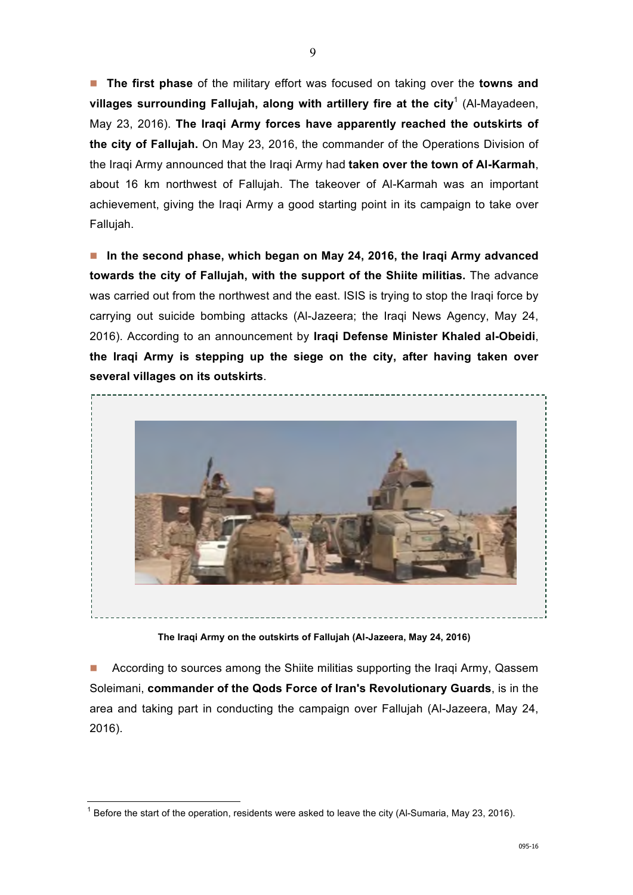**n** The first phase of the military effort was focused on taking over the **towns and** villages surrounding Fallujah, along with artillery fire at the city<sup>1</sup> (Al-Mayadeen, May 23, 2016). **The Iraqi Army forces have apparently reached the outskirts of the city of Fallujah.** On May 23, 2016, the commander of the Operations Division of the Iraqi Army announced that the Iraqi Army had **taken over the town of Al-Karmah**, about 16 km northwest of Fallujah. The takeover of Al-Karmah was an important achievement, giving the Iraqi Army a good starting point in its campaign to take over Fallujah.

**n** In the second phase, which began on May 24, 2016, the Iraqi Army advanced **towards the city of Fallujah, with the support of the Shiite militias.** The advance was carried out from the northwest and the east. ISIS is trying to stop the Iraqi force by carrying out suicide bombing attacks (Al-Jazeera; the Iraqi News Agency, May 24, 2016). According to an announcement by **Iraqi Defense Minister Khaled al-Obeidi**, **the Iraqi Army is stepping up the siege on the city, after having taken over several villages on its outskirts**.



**The Iraqi Army on the outskirts of Fallujah (Al-Jazeera, May 24, 2016)**

n According to sources among the Shiite militias supporting the Iraqi Army, Qassem Soleimani, **commander of the Qods Force of Iran's Revolutionary Guards**, is in the area and taking part in conducting the campaign over Fallujah (Al-Jazeera, May 24, 2016).

 $\frac{1}{2}$ 

 $1$  Before the start of the operation, residents were asked to leave the city (Al-Sumaria, May 23, 2016).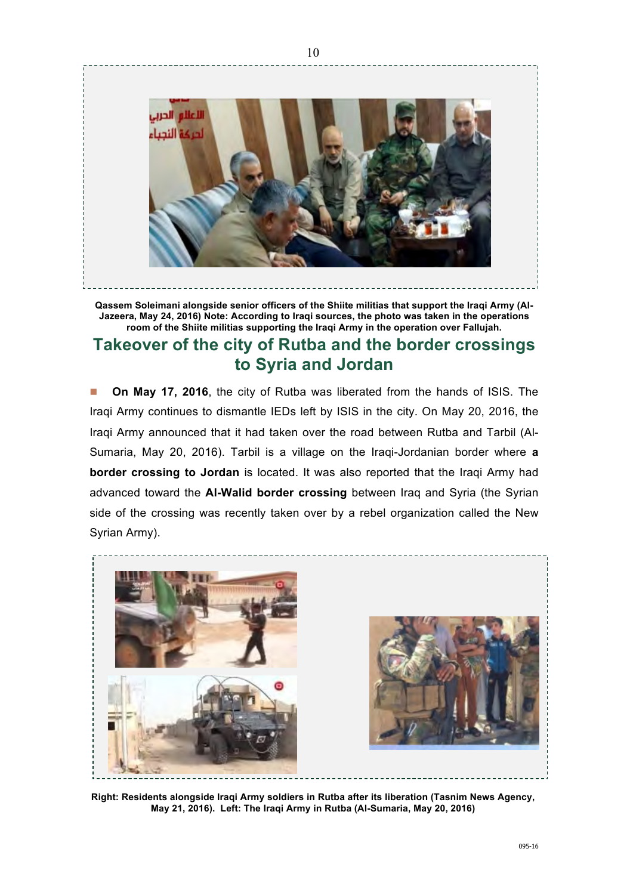

**Qassem Soleimani alongside senior officers of the Shiite militias that support the Iraqi Army (Al-Jazeera, May 24, 2016) Note: According to Iraqi sources, the photo was taken in the operations room of the Shiite militias supporting the Iraqi Army in the operation over Fallujah.**

## **Takeover of the city of Rutba and the border crossings to Syria and Jordan**

n **On May 17, 2016**, the city of Rutba was liberated from the hands of ISIS. The Iraqi Army continues to dismantle IEDs left by ISIS in the city. On May 20, 2016, the Iraqi Army announced that it had taken over the road between Rutba and Tarbil (Al-Sumaria, May 20, 2016). Tarbil is a village on the Iraqi-Jordanian border where **a border crossing to Jordan** is located. It was also reported that the Iraqi Army had advanced toward the **Al-Walid border crossing** between Iraq and Syria (the Syrian side of the crossing was recently taken over by a rebel organization called the New Syrian Army).



**Right: Residents alongside Iraqi Army soldiers in Rutba after its liberation (Tasnim News Agency, May 21, 2016). Left: The Iraqi Army in Rutba (Al-Sumaria, May 20, 2016)**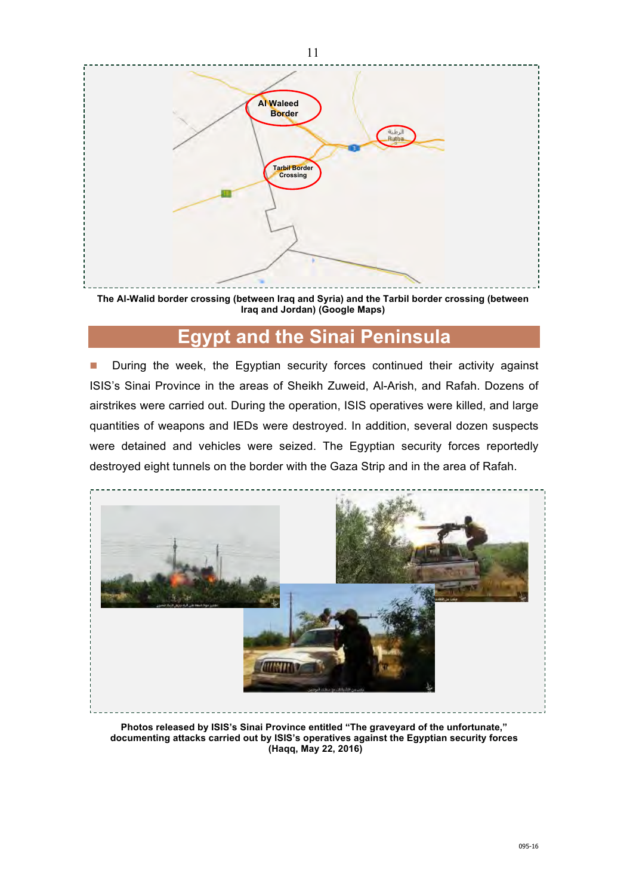

**The Al-Walid border crossing (between Iraq and Syria) and the Tarbil border crossing (between Iraq and Jordan) (Google Maps)**

# **Egypt and the Sinai Peninsula**

**n** During the week, the Egyptian security forces continued their activity against ISIS's Sinai Province in the areas of Sheikh Zuweid, Al-Arish, and Rafah. Dozens of airstrikes were carried out. During the operation, ISIS operatives were killed, and large quantities of weapons and IEDs were destroyed. In addition, several dozen suspects were detained and vehicles were seized. The Egyptian security forces reportedly destroyed eight tunnels on the border with the Gaza Strip and in the area of Rafah.



**Photos released by ISIS's Sinai Province entitled "The graveyard of the unfortunate," documenting attacks carried out by ISIS's operatives against the Egyptian security forces (Haqq, May 22, 2016)**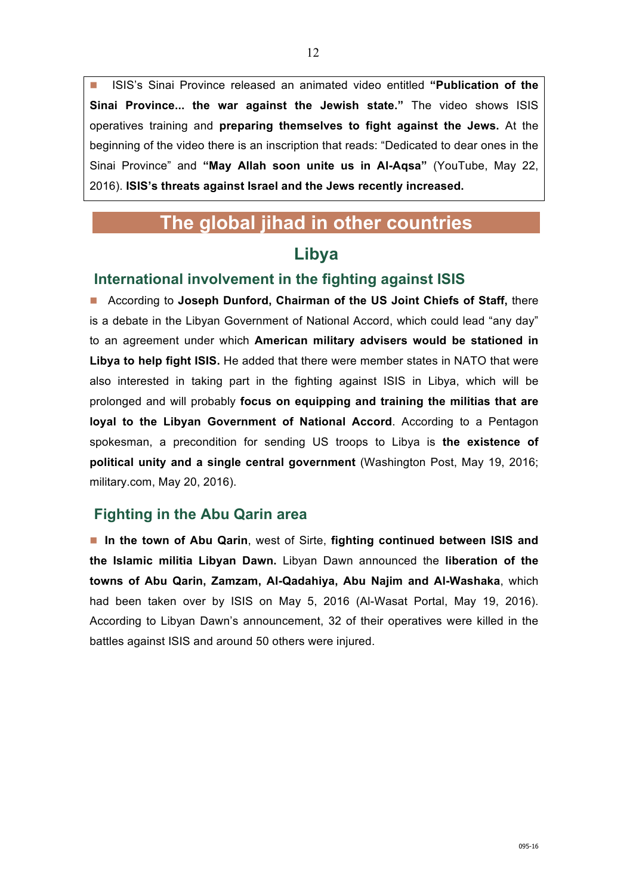■ ISIS's Sinai Province released an animated video entitled "Publication of the **Sinai Province... the war against the Jewish state."** The video shows ISIS operatives training and **preparing themselves to fight against the Jews.** At the beginning of the video there is an inscription that reads: "Dedicated to dear ones in the Sinai Province" and **"May Allah soon unite us in Al-Aqsa"** (YouTube, May 22, 2016). **ISIS's threats against Israel and the Jews recently increased.**

# **The global jihad in other countries**

### **Libya**

### **International involvement in the fighting against ISIS**

■ According to Joseph Dunford, Chairman of the US Joint Chiefs of Staff, there is a debate in the Libyan Government of National Accord, which could lead "any day" to an agreement under which **American military advisers would be stationed in Libya to help fight ISIS.** He added that there were member states in NATO that were also interested in taking part in the fighting against ISIS in Libya, which will be prolonged and will probably **focus on equipping and training the militias that are loyal to the Libyan Government of National Accord**. According to a Pentagon spokesman, a precondition for sending US troops to Libya is **the existence of political unity and a single central government** (Washington Post, May 19, 2016; military.com, May 20, 2016).

### **Fighting in the Abu Qarin area**

■ In the town of Abu Qarin, west of Sirte, fighting continued between ISIS and **the Islamic militia Libyan Dawn.** Libyan Dawn announced the **liberation of the towns of Abu Qarin, Zamzam, Al-Qadahiya, Abu Najim and Al-Washaka**, which had been taken over by ISIS on May 5, 2016 (Al-Wasat Portal, May 19, 2016). According to Libyan Dawn's announcement, 32 of their operatives were killed in the battles against ISIS and around 50 others were injured.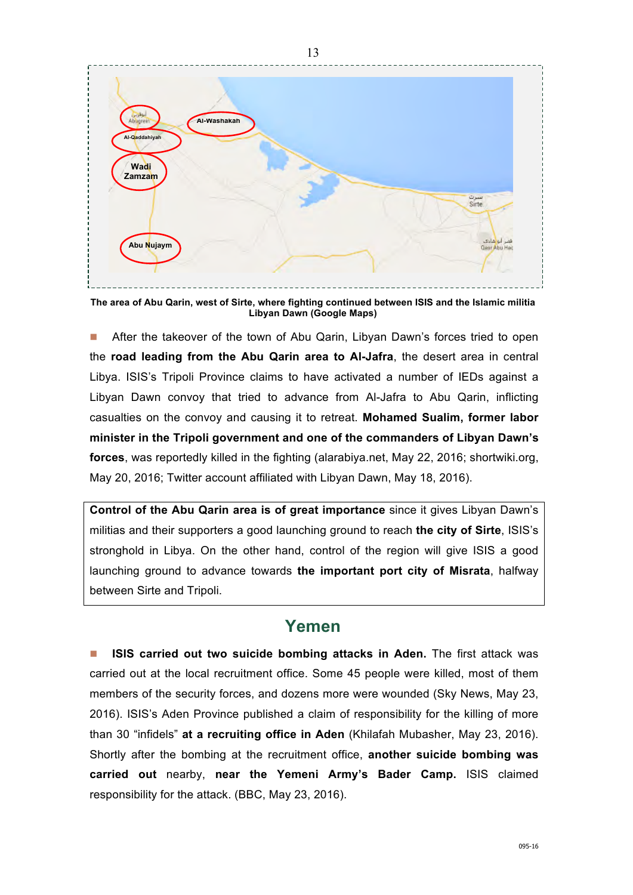

**The area of Abu Qarin, west of Sirte, where fighting continued between ISIS and the Islamic militia Libyan Dawn (Google Maps)**

**n** After the takeover of the town of Abu Qarin, Libyan Dawn's forces tried to open the **road leading from the Abu Qarin area to Al-Jafra**, the desert area in central Libya. ISIS's Tripoli Province claims to have activated a number of IEDs against a Libyan Dawn convoy that tried to advance from Al-Jafra to Abu Qarin, inflicting casualties on the convoy and causing it to retreat. **Mohamed Sualim, former labor minister in the Tripoli government and one of the commanders of Libyan Dawn's forces**, was reportedly killed in the fighting (alarabiya.net, May 22, 2016; shortwiki.org, May 20, 2016; Twitter account affiliated with Libyan Dawn, May 18, 2016).

**Control of the Abu Qarin area is of great importance** since it gives Libyan Dawn's militias and their supporters a good launching ground to reach **the city of Sirte**, ISIS's stronghold in Libya. On the other hand, control of the region will give ISIS a good launching ground to advance towards **the important port city of Misrata**, halfway between Sirte and Tripoli.

### **Yemen**

n **ISIS carried out two suicide bombing attacks in Aden.** The first attack was carried out at the local recruitment office. Some 45 people were killed, most of them members of the security forces, and dozens more were wounded (Sky News, May 23, 2016). ISIS's Aden Province published a claim of responsibility for the killing of more than 30 "infidels" **at a recruiting office in Aden** (Khilafah Mubasher, May 23, 2016). Shortly after the bombing at the recruitment office, **another suicide bombing was carried out** nearby, **near the Yemeni Army's Bader Camp.** ISIS claimed responsibility for the attack. (BBC, May 23, 2016).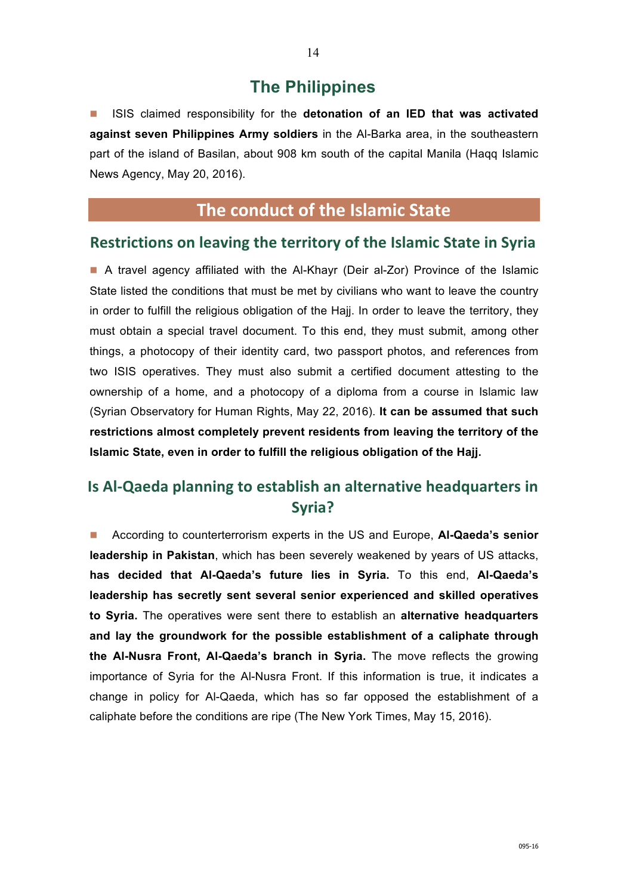### **The Philippines**

n ISIS claimed responsibility for the **detonation of an IED that was activated against seven Philippines Army soldiers** in the Al-Barka area, in the southeastern part of the island of Basilan, about 908 km south of the capital Manila (Haqq Islamic News Agency, May 20, 2016).

## **The conduct of the Islamic State**

#### **Restrictions on leaving the territory of the Islamic State in Syria**

■ A travel agency affiliated with the Al-Khayr (Deir al-Zor) Province of the Islamic State listed the conditions that must be met by civilians who want to leave the country in order to fulfill the religious obligation of the Hajj. In order to leave the territory, they must obtain a special travel document. To this end, they must submit, among other things, a photocopy of their identity card, two passport photos, and references from two ISIS operatives. They must also submit a certified document attesting to the ownership of a home, and a photocopy of a diploma from a course in Islamic law (Syrian Observatory for Human Rights, May 22, 2016). **It can be assumed that such restrictions almost completely prevent residents from leaving the territory of the Islamic State, even in order to fulfill the religious obligation of the Hajj.**

## **Is Al-Qaeda planning to establish an alternative headquarters in Syria?**

■ According to counterterrorism experts in the US and Europe, Al-Qaeda's senior **leadership in Pakistan**, which has been severely weakened by years of US attacks, **has decided that Al-Qaeda's future lies in Syria.** To this end, **Al-Qaeda's leadership has secretly sent several senior experienced and skilled operatives to Syria.** The operatives were sent there to establish an **alternative headquarters and lay the groundwork for the possible establishment of a caliphate through the Al-Nusra Front, Al-Qaeda's branch in Syria.** The move reflects the growing importance of Syria for the Al-Nusra Front. If this information is true, it indicates a change in policy for Al-Qaeda, which has so far opposed the establishment of a caliphate before the conditions are ripe (The New York Times, May 15, 2016).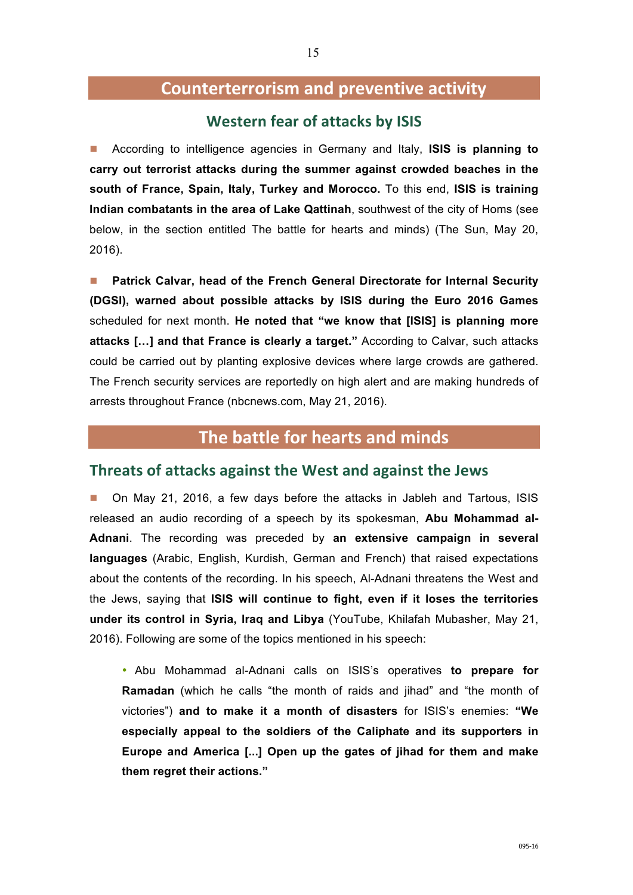### **Counterterrorism and preventive activity**

#### **Western fear of attacks by ISIS**

n According to intelligence agencies in Germany and Italy, **ISIS is planning to carry out terrorist attacks during the summer against crowded beaches in the south of France, Spain, Italy, Turkey and Morocco.** To this end, **ISIS is training Indian combatants in the area of Lake Qattinah**, southwest of the city of Homs (see below, in the section entitled The battle for hearts and minds) (The Sun, May 20, 2016).

n **Patrick Calvar, head of the French General Directorate for Internal Security (DGSI), warned about possible attacks by ISIS during the Euro 2016 Games**  scheduled for next month. **He noted that "we know that [ISIS] is planning more attacks […] and that France is clearly a target."** According to Calvar, such attacks could be carried out by planting explosive devices where large crowds are gathered. The French security services are reportedly on high alert and are making hundreds of arrests throughout France (nbcnews.com, May 21, 2016).

### **The battle for hearts and minds**

#### **Threats of attacks against the West and against the Jews**

n On May 21, 2016, a few days before the attacks in Jableh and Tartous, ISIS released an audio recording of a speech by its spokesman, **Abu Mohammad al-Adnani**. The recording was preceded by **an extensive campaign in several languages** (Arabic, English, Kurdish, German and French) that raised expectations about the contents of the recording. In his speech, Al-Adnani threatens the West and the Jews, saying that **ISIS will continue to fight, even if it loses the territories under its control in Syria, Iraq and Libya** (YouTube, Khilafah Mubasher, May 21, 2016). Following are some of the topics mentioned in his speech:

• Abu Mohammad al-Adnani calls on ISIS's operatives **to prepare for Ramadan** (which he calls "the month of raids and jihad" and "the month of victories") **and to make it a month of disasters** for ISIS's enemies: **"We especially appeal to the soldiers of the Caliphate and its supporters in Europe and America [...] Open up the gates of jihad for them and make them regret their actions."**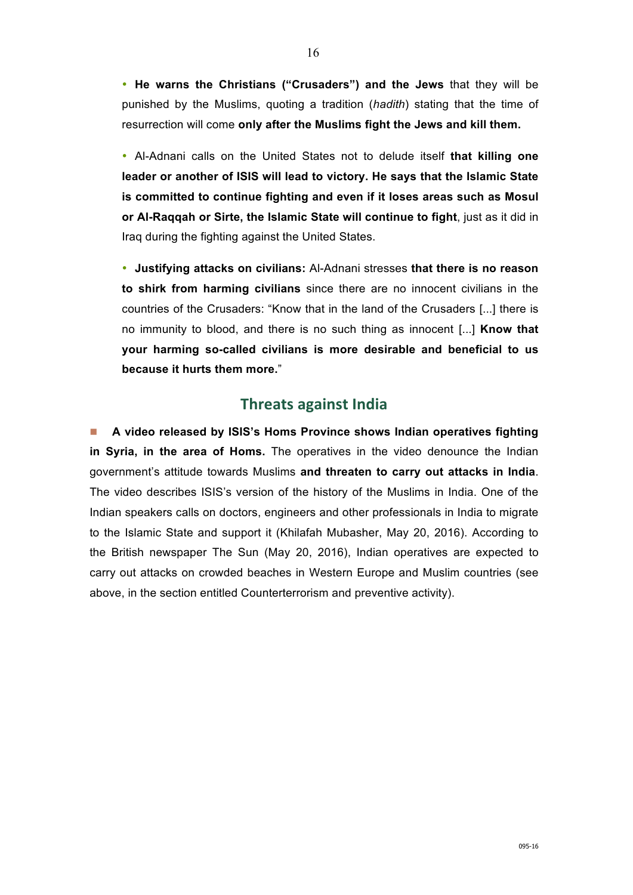• **He warns the Christians ("Crusaders") and the Jews** that they will be punished by the Muslims, quoting a tradition (*hadith*) stating that the time of resurrection will come **only after the Muslims fight the Jews and kill them.**

• Al-Adnani calls on the United States not to delude itself **that killing one leader or another of ISIS will lead to victory. He says that the Islamic State is committed to continue fighting and even if it loses areas such as Mosul or Al-Raqqah or Sirte, the Islamic State will continue to fight**, just as it did in Iraq during the fighting against the United States.

• **Justifying attacks on civilians:** Al-Adnani stresses **that there is no reason to shirk from harming civilians** since there are no innocent civilians in the countries of the Crusaders: "Know that in the land of the Crusaders [...] there is no immunity to blood, and there is no such thing as innocent [...] **Know that your harming so-called civilians is more desirable and beneficial to us because it hurts them more.**"

### **Threats against India**

■ A video released by ISIS's Homs Province shows Indian operatives fighting **in Syria, in the area of Homs.** The operatives in the video denounce the Indian government's attitude towards Muslims **and threaten to carry out attacks in India**. The video describes ISIS's version of the history of the Muslims in India. One of the Indian speakers calls on doctors, engineers and other professionals in India to migrate to the Islamic State and support it (Khilafah Mubasher, May 20, 2016). According to the British newspaper The Sun (May 20, 2016), Indian operatives are expected to carry out attacks on crowded beaches in Western Europe and Muslim countries (see above, in the section entitled Counterterrorism and preventive activity).